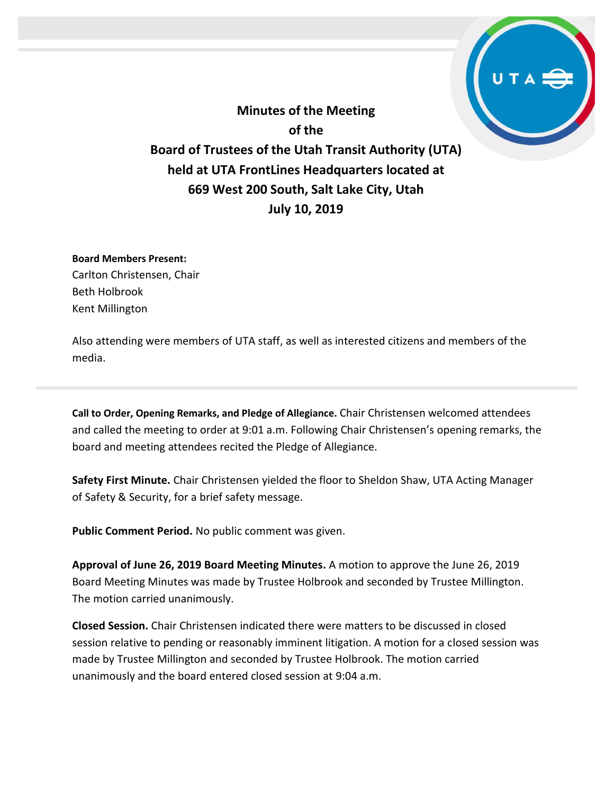**Minutes of the Meeting of the Board of Trustees of the Utah Transit Authority (UTA) held at UTA FrontLines Headquarters located at 669 West 200 South, Salt Lake City, Utah July 10, 2019**

**Board Members Present:**

Carlton Christensen, Chair Beth Holbrook Kent Millington

Also attending were members of UTA staff, as well as interested citizens and members of the media.

**Call to Order, Opening Remarks, and Pledge of Allegiance.** Chair Christensen welcomed attendees and called the meeting to order at 9:01 a.m. Following Chair Christensen's opening remarks, the board and meeting attendees recited the Pledge of Allegiance.

**Safety First Minute.** Chair Christensen yielded the floor to Sheldon Shaw, UTA Acting Manager of Safety & Security, for a brief safety message.

**Public Comment Period.** No public comment was given.

**Approval of June 26, 2019 Board Meeting Minutes.** A motion to approve the June 26, 2019 Board Meeting Minutes was made by Trustee Holbrook and seconded by Trustee Millington. The motion carried unanimously.

**Closed Session.** Chair Christensen indicated there were matters to be discussed in closed session relative to pending or reasonably imminent litigation. A motion for a closed session was made by Trustee Millington and seconded by Trustee Holbrook. The motion carried unanimously and the board entered closed session at 9:04 a.m.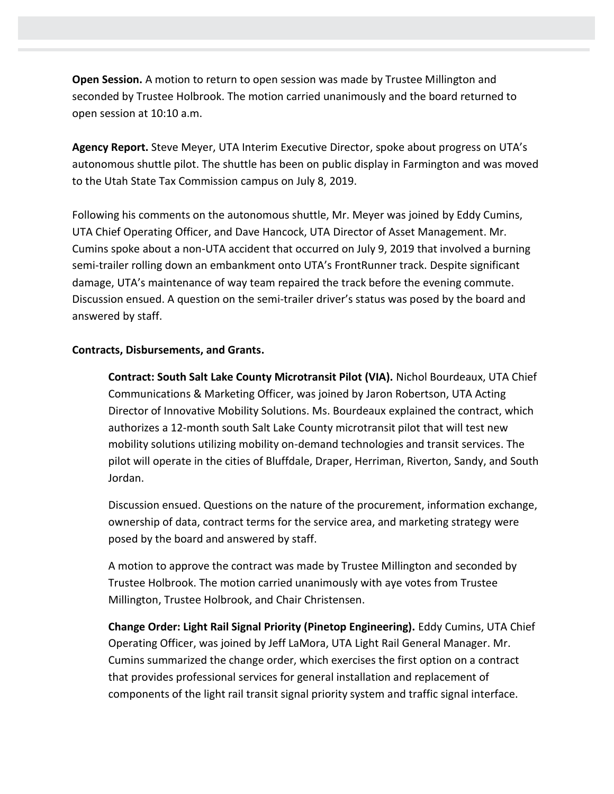**Open Session.** A motion to return to open session was made by Trustee Millington and seconded by Trustee Holbrook. The motion carried unanimously and the board returned to open session at 10:10 a.m.

**Agency Report.** Steve Meyer, UTA Interim Executive Director, spoke about progress on UTA's autonomous shuttle pilot. The shuttle has been on public display in Farmington and was moved to the Utah State Tax Commission campus on July 8, 2019.

Following his comments on the autonomous shuttle, Mr. Meyer was joined by Eddy Cumins, UTA Chief Operating Officer, and Dave Hancock, UTA Director of Asset Management. Mr. Cumins spoke about a non-UTA accident that occurred on July 9, 2019 that involved a burning semi-trailer rolling down an embankment onto UTA's FrontRunner track. Despite significant damage, UTA's maintenance of way team repaired the track before the evening commute. Discussion ensued. A question on the semi-trailer driver's status was posed by the board and answered by staff.

## **Contracts, Disbursements, and Grants.**

**Contract: South Salt Lake County Microtransit Pilot (VIA).** Nichol Bourdeaux, UTA Chief Communications & Marketing Officer, was joined by Jaron Robertson, UTA Acting Director of Innovative Mobility Solutions. Ms. Bourdeaux explained the contract, which authorizes a 12-month south Salt Lake County microtransit pilot that will test new mobility solutions utilizing mobility on-demand technologies and transit services. The pilot will operate in the cities of Bluffdale, Draper, Herriman, Riverton, Sandy, and South Jordan.

Discussion ensued. Questions on the nature of the procurement, information exchange, ownership of data, contract terms for the service area, and marketing strategy were posed by the board and answered by staff.

A motion to approve the contract was made by Trustee Millington and seconded by Trustee Holbrook. The motion carried unanimously with aye votes from Trustee Millington, Trustee Holbrook, and Chair Christensen.

**Change Order: Light Rail Signal Priority (Pinetop Engineering).** Eddy Cumins, UTA Chief Operating Officer, was joined by Jeff LaMora, UTA Light Rail General Manager. Mr. Cumins summarized the change order, which exercises the first option on a contract that provides professional services for general installation and replacement of components of the light rail transit signal priority system and traffic signal interface.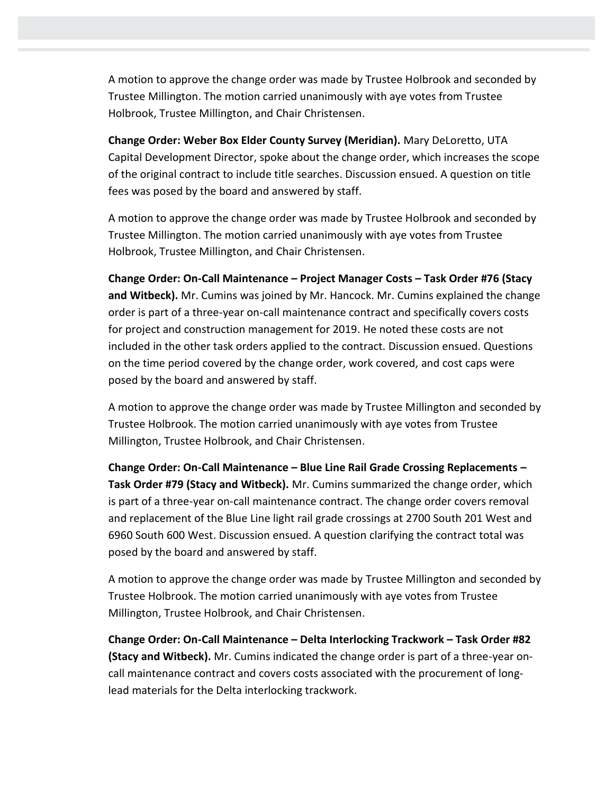A motion to approve the change order was made by Trustee Holbrook and seconded by Trustee Millington. The motion carried unanimously with aye votes from Trustee Holbrook, Trustee Millington, and Chair Christensen.

**Change Order: Weber Box Elder County Survey (Meridian).** Mary DeLoretto, UTA Capital Development Director, spoke about the change order, which increases the scope of the original contract to include title searches. Discussion ensued. A question on title fees was posed by the board and answered by staff.

A motion to approve the change order was made by Trustee Holbrook and seconded by Trustee Millington. The motion carried unanimously with aye votes from Trustee Holbrook, Trustee Millington, and Chair Christensen.

**Change Order: On-Call Maintenance – Project Manager Costs – Task Order #76 (Stacy and Witbeck).** Mr. Cumins was joined by Mr. Hancock. Mr. Cumins explained the change order is part of a three-year on-call maintenance contract and specifically covers costs for project and construction management for 2019. He noted these costs are not included in the other task orders applied to the contract. Discussion ensued. Questions on the time period covered by the change order, work covered, and cost caps were posed by the board and answered by staff.

A motion to approve the change order was made by Trustee Millington and seconded by Trustee Holbrook. The motion carried unanimously with aye votes from Trustee Millington, Trustee Holbrook, and Chair Christensen.

**Change Order: On-Call Maintenance – Blue Line Rail Grade Crossing Replacements – Task Order #79 (Stacy and Witbeck).** Mr. Cumins summarized the change order, which is part of a three-year on-call maintenance contract. The change order covers removal and replacement of the Blue Line light rail grade crossings at 2700 South 201 West and 6960 South 600 West. Discussion ensued. A question clarifying the contract total was posed by the board and answered by staff.

A motion to approve the change order was made by Trustee Millington and seconded by Trustee Holbrook. The motion carried unanimously with aye votes from Trustee Millington, Trustee Holbrook, and Chair Christensen.

**Change Order: On-Call Maintenance – Delta Interlocking Trackwork – Task Order #82 (Stacy and Witbeck).** Mr. Cumins indicated the change order is part of a three-year oncall maintenance contract and covers costs associated with the procurement of longlead materials for the Delta interlocking trackwork.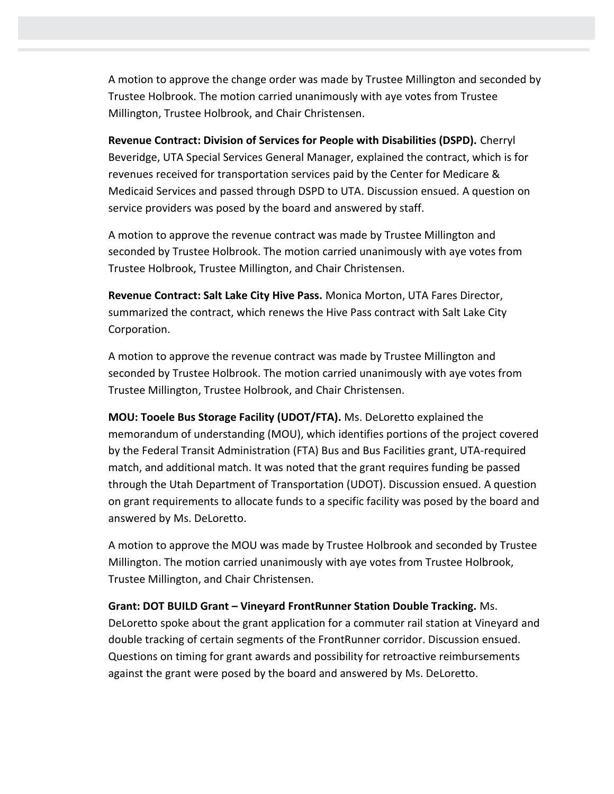A motion to approve the change order was made by Trustee Millington and seconded by Trustee Holbrook. The motion carried unanimously with aye votes from Trustee Millington, Trustee Holbrook, and Chair Christensen.

**Revenue Contract: Division of Services for People with Disabilities (DSPD).** Cherryl Beveridge, UTA Special Services General Manager, explained the contract, which is for revenues received for transportation services paid by the Center for Medicare & Medicaid Services and passed through DSPD to UTA. Discussion ensued. A question on service providers was posed by the board and answered by staff.

A motion to approve the revenue contract was made by Trustee Millington and seconded by Trustee Holbrook. The motion carried unanimously with aye votes from Trustee Holbrook, Trustee Millington, and Chair Christensen.

**Revenue Contract: Salt Lake City Hive Pass.** Monica Morton, UTA Fares Director, summarized the contract, which renews the Hive Pass contract with Salt Lake City Corporation.

A motion to approve the revenue contract was made by Trustee Millington and seconded by Trustee Holbrook. The motion carried unanimously with aye votes from Trustee Millington, Trustee Holbrook, and Chair Christensen.

**MOU: Tooele Bus Storage Facility (UDOT/FTA).** Ms. DeLoretto explained the memorandum of understanding (MOU), which identifies portions of the project covered by the Federal Transit Administration (FTA) Bus and Bus Facilities grant, UTA-required match, and additional match. It was noted that the grant requires funding be passed through the Utah Department of Transportation (UDOT). Discussion ensued. A question on grant requirements to allocate funds to a specific facility was posed by the board and answered by Ms. DeLoretto.

A motion to approve the MOU was made by Trustee Holbrook and seconded by Trustee Millington. The motion carried unanimously with aye votes from Trustee Holbrook, Trustee Millington, and Chair Christensen.

## **Grant: DOT BUILD Grant – Vineyard FrontRunner Station Double Tracking.** Ms.

DeLoretto spoke about the grant application for a commuter rail station at Vineyard and double tracking of certain segments of the FrontRunner corridor. Discussion ensued. Questions on timing for grant awards and possibility for retroactive reimbursements against the grant were posed by the board and answered by Ms. DeLoretto.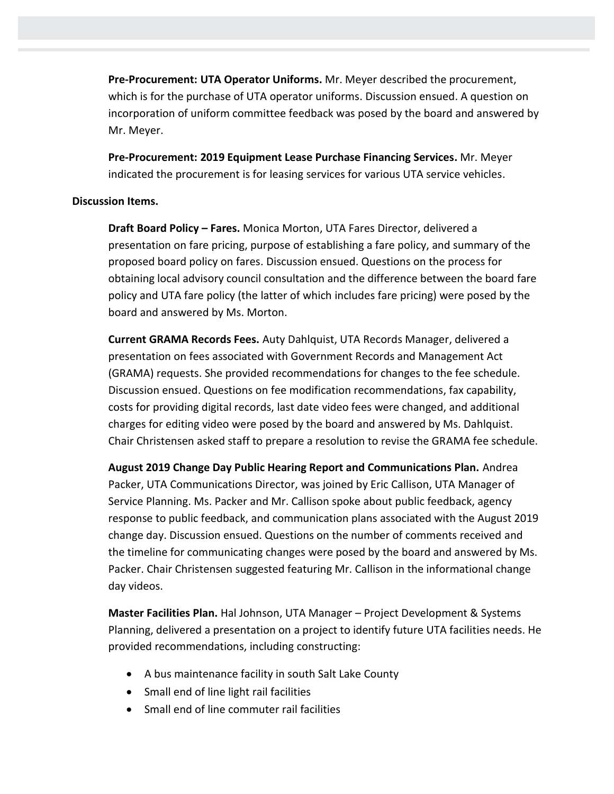**Pre-Procurement: UTA Operator Uniforms.** Mr. Meyer described the procurement, which is for the purchase of UTA operator uniforms. Discussion ensued. A question on incorporation of uniform committee feedback was posed by the board and answered by Mr. Meyer.

**Pre-Procurement: 2019 Equipment Lease Purchase Financing Services.** Mr. Meyer indicated the procurement is for leasing services for various UTA service vehicles.

## **Discussion Items.**

**Draft Board Policy – Fares.** Monica Morton, UTA Fares Director, delivered a presentation on fare pricing, purpose of establishing a fare policy, and summary of the proposed board policy on fares. Discussion ensued. Questions on the process for obtaining local advisory council consultation and the difference between the board fare policy and UTA fare policy (the latter of which includes fare pricing) were posed by the board and answered by Ms. Morton.

**Current GRAMA Records Fees.** Auty Dahlquist, UTA Records Manager, delivered a presentation on fees associated with Government Records and Management Act (GRAMA) requests. She provided recommendations for changes to the fee schedule. Discussion ensued. Questions on fee modification recommendations, fax capability, costs for providing digital records, last date video fees were changed, and additional charges for editing video were posed by the board and answered by Ms. Dahlquist. Chair Christensen asked staff to prepare a resolution to revise the GRAMA fee schedule.

**August 2019 Change Day Public Hearing Report and Communications Plan.** Andrea Packer, UTA Communications Director, was joined by Eric Callison, UTA Manager of Service Planning. Ms. Packer and Mr. Callison spoke about public feedback, agency response to public feedback, and communication plans associated with the August 2019 change day. Discussion ensued. Questions on the number of comments received and the timeline for communicating changes were posed by the board and answered by Ms. Packer. Chair Christensen suggested featuring Mr. Callison in the informational change day videos.

**Master Facilities Plan.** Hal Johnson, UTA Manager – Project Development & Systems Planning, delivered a presentation on a project to identify future UTA facilities needs. He provided recommendations, including constructing:

- A bus maintenance facility in south Salt Lake County
- Small end of line light rail facilities
- Small end of line commuter rail facilities